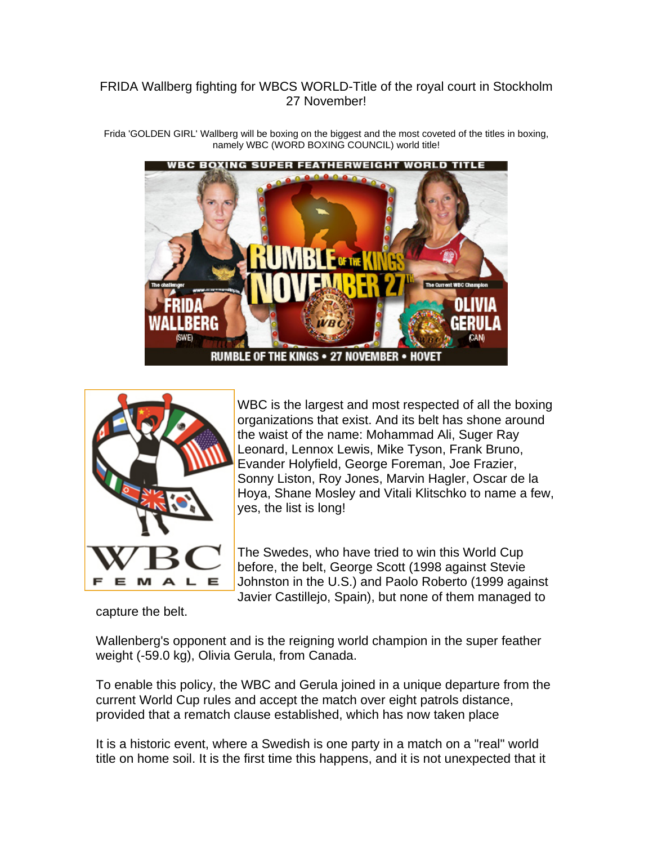## FRIDA Wallberg fighting for WBCS WORLD-Title of the royal court in Stockholm 27 November!

Frida 'GOLDEN GIRL' Wallberg will be boxing on the biggest and the most coveted of the titles in boxing, namely WBC (WORD BOXING COUNCIL) world title!

WBC BOXING SUPER FEATHERWEIGHT WORLD TITLE NLIVIA **SWE** RUMBLE OF THE KINGS . 27 NOVEMBER . HOVET

Е

WBC is the largest and most respected of all the boxing organizations that exist. And its belt has shone around the waist of the name: Mohammad Ali, Suger Ray Leonard, Lennox Lewis, Mike Tyson, Frank Bruno, Evander Holyfield, George Foreman, Joe Frazier, Sonny Liston, Roy Jones, Marvin Hagler, Oscar de la Hoya, Shane Mosley and Vitali Klitschko to name a few , yes, the list is lo ng!

The Swedes, who have tried to win this World Cup before, the belt, George Scott (1998 against Stevie Johnston in the U.S.) and Paolo Roberto (1999 against Javier Castillejo, Spain), but none of them managed to

capture the belt.

Wallenberg's opponent and is the reigning world champion in the super feather weight (-59.0 kg), Olivia Gerula, from Canada.

To enable this policy, the WBC and Gerula joined in a unique departure from the current World Cup rules and accept the match over eight patrols distance, provided that a rematch clause established, which has now taken place

It is a historic event, where a Swedish is one party in a match on a "real" world title on home soil. It is the first time this happens, and it is not unexpected that it